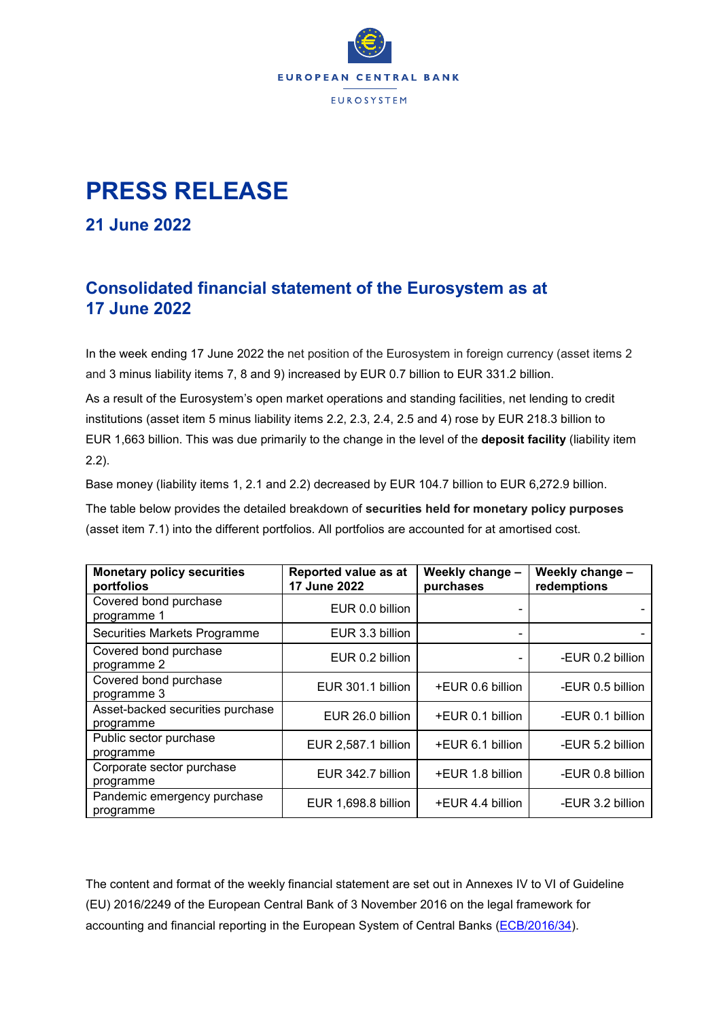

## **PRESS RELEASE**

**21 June 2022**

## **Consolidated financial statement of the Eurosystem as at 17 June 2022**

In the week ending 17 June 2022 the net position of the Eurosystem in foreign currency (asset items 2 and 3 minus liability items 7, 8 and 9) increased by EUR 0.7 billion to EUR 331.2 billion.

As a result of the Eurosystem's open market operations and standing facilities, net lending to credit institutions (asset item 5 minus liability items 2.2, 2.3, 2.4, 2.5 and 4) rose by EUR 218.3 billion to EUR 1,663 billion. This was due primarily to the change in the level of the **deposit facility** (liability item 2.2).

Base money (liability items 1, 2.1 and 2.2) decreased by EUR 104.7 billion to EUR 6,272.9 billion.

The table below provides the detailed breakdown of **securities held for monetary policy purposes** (asset item 7.1) into the different portfolios. All portfolios are accounted for at amortised cost.

| <b>Monetary policy securities</b><br>portfolios | Reported value as at<br>17 June 2022 | Weekly change -<br>purchases | Weekly change -<br>redemptions |
|-------------------------------------------------|--------------------------------------|------------------------------|--------------------------------|
| Covered bond purchase<br>programme 1            | EUR 0.0 billion                      |                              |                                |
| Securities Markets Programme                    | EUR 3.3 billion                      |                              |                                |
| Covered bond purchase<br>programme 2            | EUR 0.2 billion                      |                              | -EUR 0.2 billion               |
| Covered bond purchase<br>programme 3            | EUR 301.1 billion                    | +EUR 0.6 billion             | -EUR 0.5 billion               |
| Asset-backed securities purchase<br>programme   | EUR 26.0 billion                     | +EUR 0.1 billion             | -EUR 0.1 billion               |
| Public sector purchase<br>programme             | EUR 2,587.1 billion                  | +EUR 6.1 billion             | -EUR 5.2 billion               |
| Corporate sector purchase<br>programme          | EUR 342.7 billion                    | +EUR 1.8 billion             | -EUR 0.8 billion               |
| Pandemic emergency purchase<br>programme        | EUR 1,698.8 billion                  | +EUR 4.4 billion             | -EUR 3.2 billion               |

The content and format of the weekly financial statement are set out in Annexes IV to VI of Guideline (EU) 2016/2249 of the European Central Bank of 3 November 2016 on the legal framework for accounting and financial reporting in the European System of Central Banks [\(ECB/2016/34\)](https://eur-lex.europa.eu/legal-content/EN/TXT/?qid=1599130224518&uri=CELEX:32016O0034).